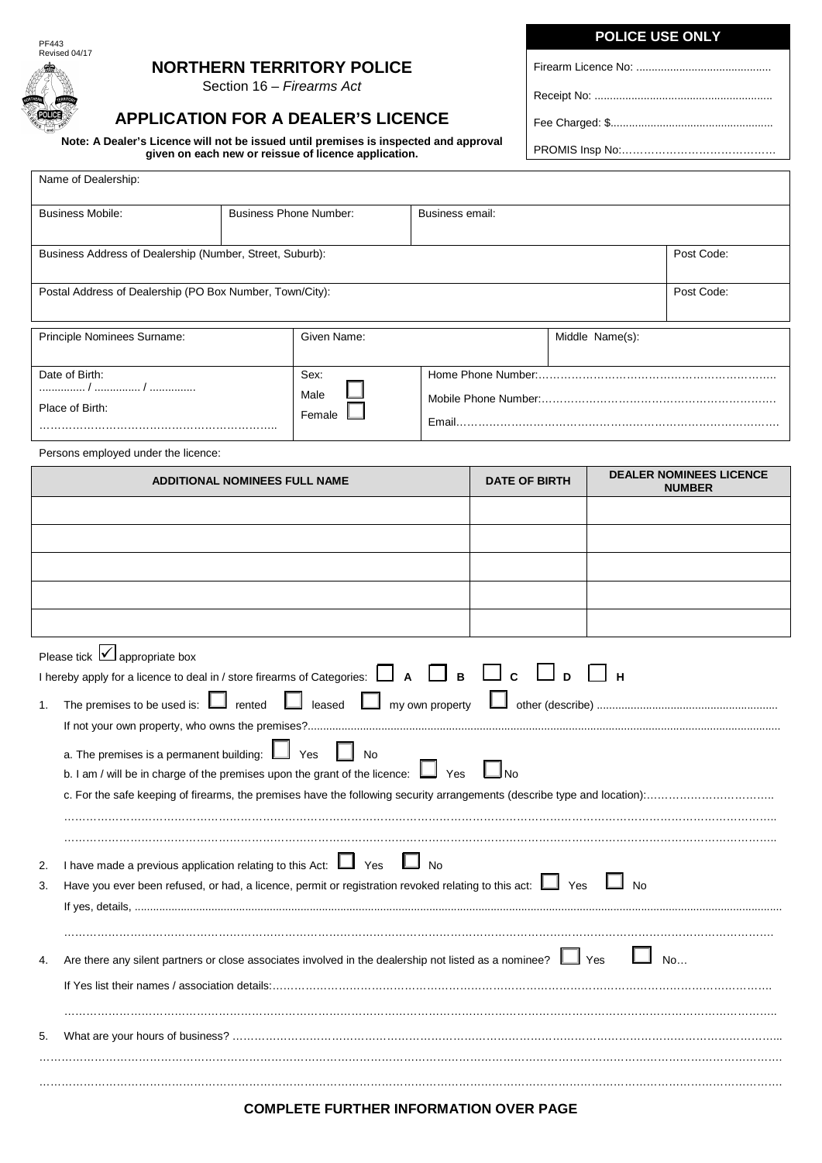

### **NORTHERN TERRITORY POLICE**

Section 16 – *Firearms Act*

# **APPLICATION FOR A DEALER'S LICENCE**

**Note: A Dealer's Licence will not be issued until premises is inspected and approval given on each new or reissue of licence application.**

|  | <b>POLICE USE ONLY</b> |  |
|--|------------------------|--|
|  |                        |  |

Firearm Licence No: ............................................

Receipt No: ..........................................................

Fee Charged: \$.....................................................

PROMIS Insp No:……………………………………

|                                   | Name of Dealership:                                                                                                                                                                                                                                                                                                       |                                      |                               |                 |                      |                 |                                |
|-----------------------------------|---------------------------------------------------------------------------------------------------------------------------------------------------------------------------------------------------------------------------------------------------------------------------------------------------------------------------|--------------------------------------|-------------------------------|-----------------|----------------------|-----------------|--------------------------------|
| <b>Business Mobile:</b>           |                                                                                                                                                                                                                                                                                                                           |                                      | <b>Business Phone Number:</b> | Business email: |                      |                 |                                |
|                                   | Business Address of Dealership (Number, Street, Suburb):<br>Post Code:                                                                                                                                                                                                                                                    |                                      |                               |                 |                      |                 |                                |
|                                   | Postal Address of Dealership (PO Box Number, Town/City):<br>Post Code:                                                                                                                                                                                                                                                    |                                      |                               |                 |                      |                 |                                |
|                                   | Principle Nominees Surname:                                                                                                                                                                                                                                                                                               |                                      | Given Name:                   |                 |                      | Middle Name(s): |                                |
| Date of Birth:<br>Place of Birth: |                                                                                                                                                                                                                                                                                                                           |                                      | Sex:<br>Male<br>Female        |                 |                      |                 |                                |
|                                   | Persons employed under the licence:                                                                                                                                                                                                                                                                                       | <b>ADDITIONAL NOMINEES FULL NAME</b> |                               |                 | <b>DATE OF BIRTH</b> |                 | <b>DEALER NOMINEES LICENCE</b> |
|                                   |                                                                                                                                                                                                                                                                                                                           |                                      |                               |                 |                      |                 | <b>NUMBER</b>                  |
|                                   |                                                                                                                                                                                                                                                                                                                           |                                      |                               |                 |                      |                 |                                |
|                                   |                                                                                                                                                                                                                                                                                                                           |                                      |                               |                 |                      |                 |                                |
|                                   |                                                                                                                                                                                                                                                                                                                           |                                      |                               |                 |                      |                 |                                |
|                                   |                                                                                                                                                                                                                                                                                                                           |                                      |                               |                 |                      |                 |                                |
| 1.                                | Please tick $\boxed{\checkmark}$ appropriate box<br>I hereby apply for a licence to deal in / store firearms of Categories: $\Box$ A $\Box$ B $\Box$ C $\Box$ D $\Box$ H<br>a. The premises is a permanent building: $\mathbf L$<br>b. I am / will be in charge of the premises upon the grant of the licence: $\Box$ Yes |                                      | Yes<br>No                     |                 |                      |                 |                                |
| 2.<br>3.                          | I have made a previous application relating to this Act: $\Box$ Yes<br>Have you ever been refused, or had, a licence, permit or registration revoked relating to this act: $\Box$ Yes                                                                                                                                     |                                      |                               | <b>No</b>       |                      | No              |                                |
| 4.                                | Are there any silent partners or close associates involved in the dealership not listed as a nominee?                                                                                                                                                                                                                     |                                      |                               |                 |                      | Yes             | No                             |

#### …………………………………………………………………………………………………………………………………………………………………………………. **COMPLETE FURTHER INFORMATION OVER PAGE**

If Yes list their names / association details:……………………………………………………………………………………………………………………….

………………………………………………………………………………………………………………………………………………………………………….. 5. What are your hours of business? …………………………………………………………………………………………………………………………………... ………………………………………………………………………………………………………………………………………………………………………………….